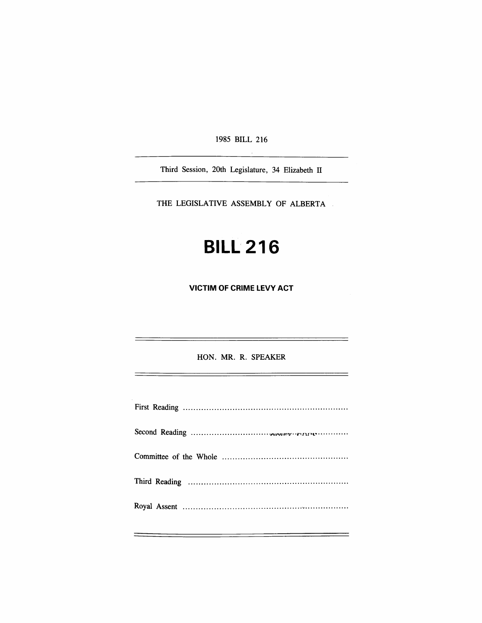1985 BILL 216

Third Session, 20th Legislature, 34 Elizabeth II

THE LEGISLATIVE ASSEMBLY OF ALBERTA

# **BILL 216**

**VICTIM OF CRIME LEVY ACT** 

HON. MR. R. SPEAKER

<u> 1980 - Jan James Alexandro III, martxoar eta bizkailar (h. 1980).</u>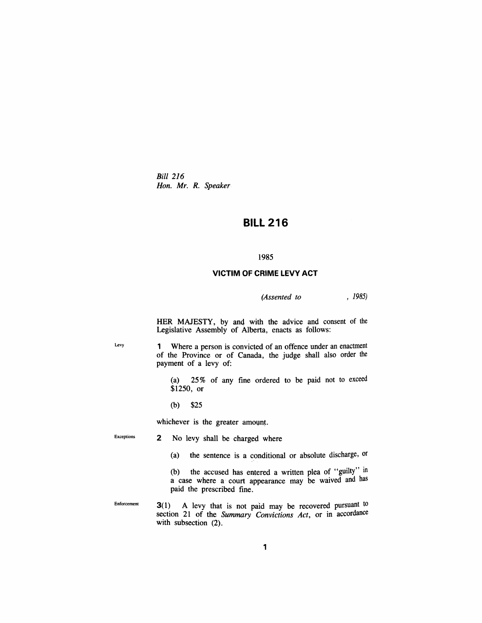*Bid 216 Hon. Mr. R. Speaker* 

# **BILL 216**

#### **1985**

## **VICTIM OF CRIME LEVY ACT**

### *(Assented to , 1985)*

HER MAJESTY, by and with the advice and consent of the Legislative Assembly of Alberta, enacts as follows:

Levy 1 Where a person is convicted of an offence under an enactment of the Province or of Canada, the judge shall also order the payment of a levy of:

> (a) 25% of any fine ordered to be paid not to exceed \$1250, or

(b) \$25

whichever is the greater amount.

Exceptions 2 No levy shall be charged where

(a) the sentence is a conditional or absolute discharge, or

(b) the accused has entered a written plea of "guilty" in a case where a court appearance may be waived and has paid the prescribed fine.

Enforcement  $3(1)$  A levy that is not paid may be recovered pursuant to section 21 of the *Summary Convictions Act,* or in accordance with subsection  $(2)$ .